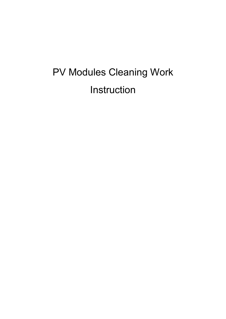# PV Modules Cleaning Work Instruction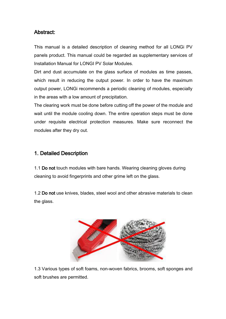## Abstract:

This manual is a detailed description of cleaning method for all LONGi PV panels product. This manual could be regarded as supplementary services of Installation Manual for LONGI PV Solar Modules.

Dirt and dust accumulate on the glass surface of modules as time passes, which result in reducing the output power. In order to have the maximum output power, LONGi recommends a periodic cleaning of modules, especially in the areas with a low amount of precipitation.

The clearing work must be done before cutting off the power of the module and wait until the module cooling down. The entire operation steps must be done under requisite electrical protection measures. Make sure reconnect the modules after they dry out.

# 1. Detailed Description

1.1 Do not touch modules with bare hands. Wearing cleaning gloves during cleaning to avoid fingerprints and other grime left on the glass.

1.2 Do not use knives, blades, steel wool and other abrasive materials to clean the glass.



1.3 Various types of soft foams, non-woven fabrics, brooms, soft sponges and soft brushes are permitted.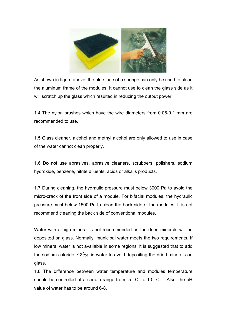

As shown in figure above, the blue face of a sponge can only be used to clean the aluminum frame of the modules. It cannot use to clean the glass side as it will scratch up the glass which resulted in reducing the output power.

1.4 The nylon brushes which have the wire diameters from 0.06-0.1 mm are recommended to use.

1.5 Glass cleaner, alcohol and methyl alcohol are only allowed to use in case of the water cannot clean properly.

1.6 Do not use abrasives, abrasive cleaners, scrubbers, polishers, sodium hydroxide, benzene, nitrite diluents, acids or alkalis products.

1.7 During cleaning, the hydraulic pressure must below 3000 Pa to avoid the micro-crack of the front side of a module. For bifacial modules, the hydraulic pressure must below 1500 Pa to clean the back side of the modules. It is not recommend cleaning the back side of conventional modules.

Water with a high mineral is not recommended as the dried minerals will be deposited on glass. Normally, municipal water meets the two requirements. If low mineral water is not available in some regions, it is suggested that to add the sodium chloride ≤2‰ in water to avoid depositing the dried minerals on glass.

1.8 The difference between water temperature and modules temperature should be controlled at a certain range from -5 ℃ to 10 ℃. Also, the pH value of water has to be around 6-8.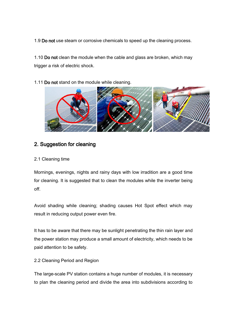1.9 Do not use steam or corrosive chemicals to speed up the cleaning process.

1.10 Do not clean the module when the cable and glass are broken, which may trigger a risk of electric shock.

1.11 Do not stand on the module while cleaning.



# 2. Suggestion for cleaning

2.1 Cleaning time

Mornings, evenings, nights and rainy days with low irradition are a good time for cleaning. It is suggested that to clean the modules while the inverter being off.

Avoid shading while cleaning; shading causes Hot Spot effect which may result in reducing output power even fire.

It has to be aware that there may be sunlight penetrating the thin rain layer and the power station may produce a small amount of electricity, which needs to be paid attention to be safety.

2.2 Cleaning Period and Region

The large-scale PV station contains a huge number of modules, it is necessary to plan the cleaning period and divide the area into subdivisions according to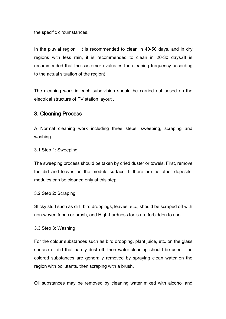the specific circumstances.

In the [pluvial](file:///C:/Users/tangyi/AppData/Local/youdao/dict/Application/7.5.2.0/resultui/dict/?keyword=pluvial) [region](file:///C:/Users/tangyi/AppData/Local/youdao/dict/Application/7.5.2.0/resultui/dict/?keyword=region), it is recommended to clean in 40-50 days, and in dry regions with less rain, it is recommended to clean in 20-30 days.(It is recommended that the customer evaluates the cleaning frequency according to the actual situation of the region)

The cleaning work in each subdivision should be carried out based on the electrical structure of PV station layout .

## 3. Cleaning Process

A Normal cleaning work including three steps: sweeping, scraping and washing.

3.1 Step 1: Sweeping

The sweeping process should be taken by dried duster or towels. First, remove the dirt and leaves on the module surface. If there are no other deposits, modules can be cleaned only at this step.

#### 3.2 Step 2: Scraping

Sticky stuff such as dirt, bird droppings, leaves, etc., should be scraped off with non-woven fabric or brush, and High-hardness tools are forbidden to use.

3.3 Step 3: Washing

For the colour substances such as bird dropping, plant juice, etc. on the glass surface or dirt that hardly dust off, then water-cleaning should be used. The colored substances are generally removed by spraying clean water on the region with pollutants, then scraping with a brush.

Oil substances may be removed by cleaning water mixed with alcohol and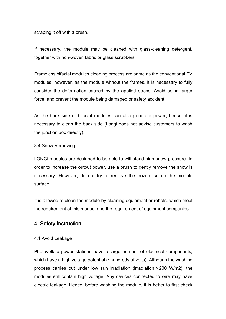scraping it off with a brush.

If necessary, the module may be cleaned with glass-cleaning detergent, together with non-woven fabric or glass scrubbers.

Frameless bifacial modules cleaning process are same as the conventional PV modules; however, as the module without the frames, it is necessary to fully consider the deformation caused by the applied stress. Avoid using larger force, and prevent the module being damaged or safety accident.<br>As the back side of bifacial modules can also generate power, hence, it is

necessary to clean the back side (Longi does not advise customers to wash the junction box directly).

#### 3.4 Snow Removing

LONGi modules are designed to be able to withstand high snow pressure. In order to increase the output power, use a brush to gently remove the snow is necessary. However, do not try to remove the frozen ice on the module surface.

It is allowed to clean the module by cleaning equipment or robots, which meet the requirement of this manual and the requirement of equipment companies.

## 4. Safety Instruction

#### 4.1 Avoid Leakage

Photovoltaic power stations have a large number of electrical components, which have a high voltage potential (~hundreds of volts). Although the washing process carries out under low sun irradiation (irradiation ≤ 200 W/m2), the modules still contain high voltage. Any devices connected to wire may have electric leakage. Hence, before washing the module, it is better to first check